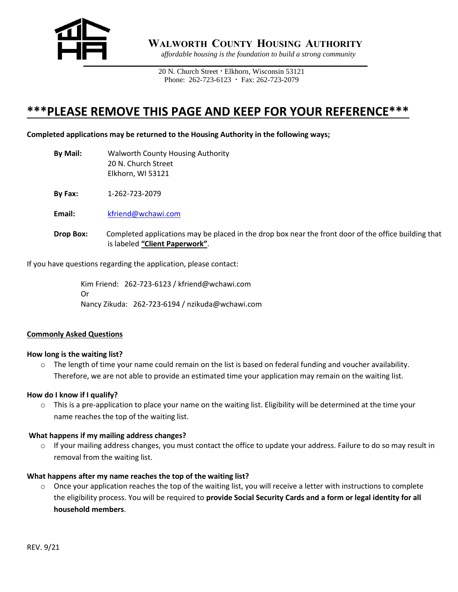

 **WALWORTH COUNTY HOUSING AUTHORITY**

a*ffordable housing is the foundation to build a strong community*

20 N. Church Street **·** Elkhorn, Wisconsin 53121 Phone: 262-723-6123 **·** Fax: 262-723-2079

## **\*\*\*PLEASE REMOVE THIS PAGE AND KEEP FOR YOUR REFERENCE\*\*\***

#### **Completed applications may be returned to the Housing Authority in the following ways;**

**By Mail:** Walworth County Housing Authority 20 N. Church Street Elkhorn, WI 53121

**By Fax:** 1-262-723-2079

**Email:** kfriend@wchawi.com

**Drop Box:** Completed applications may be placed in the drop box near the front door of the office building that is labeled **"Client Paperwork"**.

If you have questions regarding the application, please contact:

Kim Friend: 262-723-6123 / kfriend@wchawi.com Or Nancy Zikuda: 262-723-6194 / nzikuda@wchawi.com

#### **Commonly Asked Questions**

#### **How long is the waiting list?**

 $\circ$  The length of time your name could remain on the list is based on federal funding and voucher availability. Therefore, we are not able to provide an estimated time your application may remain on the waiting list.

#### **How do I know if I qualify?**

o This is a pre-application to place your name on the waiting list. Eligibility will be determined at the time your name reaches the top of the waiting list.

#### **What happens if my mailing address changes?**

 $\circ$  If your mailing address changes, you must contact the office to update your address. Failure to do so may result in removal from the waiting list.

#### **What happens after my name reaches the top of the waiting list?**

 $\circ$  Once your application reaches the top of the waiting list, you will receive a letter with instructions to complete the eligibility process. You will be required to **provide Social Security Cards and a form or legal identity for all household members**.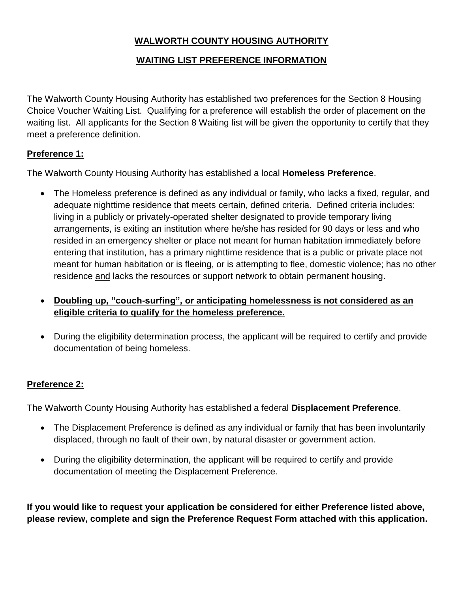### **WALWORTH COUNTY HOUSING AUTHORITY**

### **WAITING LIST PREFERENCE INFORMATION**

The Walworth County Housing Authority has established two preferences for the Section 8 Housing Choice Voucher Waiting List. Qualifying for a preference will establish the order of placement on the waiting list. All applicants for the Section 8 Waiting list will be given the opportunity to certify that they meet a preference definition.

### **Preference 1:**

The Walworth County Housing Authority has established a local **Homeless Preference**.

- The Homeless preference is defined as any individual or family, who lacks a fixed, regular, and adequate nighttime residence that meets certain, defined criteria. Defined criteria includes: living in a publicly or privately-operated shelter designated to provide temporary living arrangements, is exiting an institution where he/she has resided for 90 days or less and who resided in an emergency shelter or place not meant for human habitation immediately before entering that institution, has a primary nighttime residence that is a public or private place not meant for human habitation or is fleeing, or is attempting to flee, domestic violence; has no other residence and lacks the resources or support network to obtain permanent housing.
- **Doubling up, "couch-surfing", or anticipating homelessness is not considered as an eligible criteria to qualify for the homeless preference.**
- During the eligibility determination process, the applicant will be required to certify and provide documentation of being homeless.

### **Preference 2:**

The Walworth County Housing Authority has established a federal **Displacement Preference**.

- The Displacement Preference is defined as any individual or family that has been involuntarily displaced, through no fault of their own, by natural disaster or government action.
- During the eligibility determination, the applicant will be required to certify and provide documentation of meeting the Displacement Preference.

**If you would like to request your application be considered for either Preference listed above, please review, complete and sign the Preference Request Form attached with this application.**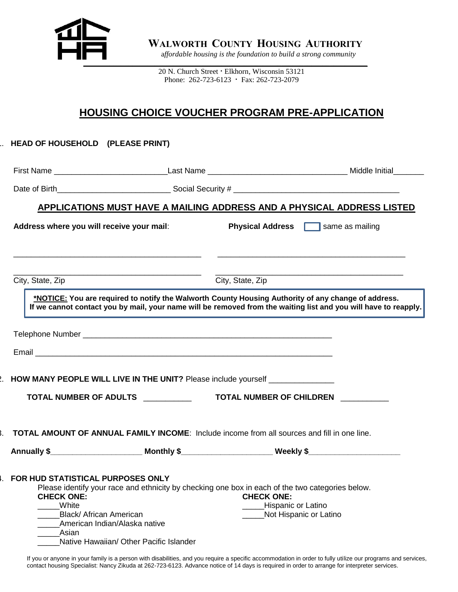

 **WALWORTH COUNTY HOUSING AUTHORITY**

a*ffordable housing is the foundation to build a strong community*

20 N. Church Street **·** Elkhorn, Wisconsin 53121 Phone: 262-723-6123 **·** Fax: 262-723-2079

### **HOUSING CHOICE VOUCHER PROGRAM PRE-APPLICATION**

# 1. **HEAD OF HOUSEHOLD (PLEASE PRINT)** First Name **Example 20 All 20 All 20 All 20 All 20 All 20 All 20 All 20 All 20 All 20 All 20 All 20 All 20 All 20 All 20 All 20 All 20 All 20 All 20 All 20 All 20 All 20 All 20 All 20 All 20 All 20 All 20 All 20 All 20 All** Date of Birth\_\_\_\_\_\_\_\_\_\_\_\_\_\_\_\_\_\_\_\_\_\_\_\_\_\_ Social Security # \_\_\_\_\_\_\_\_\_\_\_\_\_\_\_\_\_\_\_\_\_\_\_\_\_\_\_\_\_\_\_\_\_\_\_\_\_\_ **APPLICATIONS MUST HAVE A MAILING ADDRESS AND A PHYSICAL ADDRESS LISTED** Address where you will receive your mail: Physical Address **notify and a** same as mailing  $\_$  , and the set of the set of the set of the set of the set of the set of the set of the set of the set of the set of the set of the set of the set of the set of the set of the set of the set of the set of the set of th \_\_\_\_\_\_\_\_\_\_\_\_\_\_\_\_\_\_\_\_\_\_\_\_\_\_\_\_\_\_\_\_\_\_\_\_\_\_\_\_\_\_\_ \_\_\_\_\_\_\_\_\_\_\_\_\_\_\_\_\_\_\_\_\_\_\_\_\_\_\_\_\_\_\_\_\_\_\_\_\_\_\_\_\_\_\_ City, State, Zip City, State, Zip **\*NOTICE: You are required to notify the Walworth County Housing Authority of any change of address. If we cannot contact you by mail, your name will be removed from the waiting list and you will have to reapply.**  $\overline{a}$ Telephone Number \_\_\_\_\_\_\_\_\_\_\_\_\_\_\_\_\_\_\_\_\_\_\_\_\_\_\_\_\_\_\_\_\_\_\_\_\_\_\_\_\_\_\_\_\_\_\_\_\_\_\_\_\_\_\_\_\_ Email **Email and the complete of the complete of the complete of the complete of the complete of the complete** 2. **HOW MANY PEOPLE WILL LIVE IN THE UNIT?** Please include yourself **TOTAL NUMBER OF ADULTS** \_\_\_\_\_\_\_\_\_\_\_ **TOTAL NUMBER OF CHILDREN** \_\_\_\_\_\_\_\_\_\_\_ 3. **TOTAL AMOUNT OF ANNUAL FAMILY INCOME**: Include income from all sources and fill in one line. Annually \$ Monthly \$ Weekly \$ 4. **FOR HUD STATISTICAL PURPOSES ONLY** Please identify your race and ethnicity by checking one box in each of the two categories below. **CHECK ONE: CHECK ONE:** Lating Month Contract Contract Contract Contract Contract Contract Contract Contract Contract Contract Contract Contract Contract Contract Contract Contract Contract Contract Contract Contract Contract Contract Contract Co Black/ African American **American and American and American and American and American and American and American** \_\_\_\_\_American Indian/Alaska native \_\_\_\_\_Asian

Native Hawaiian/ Other Pacific Islander

If you or anyone in your family is a person with disabilities, and you require a specific accommodation in order to fully utilize our programs and services, contact housing Specialist: Nancy Zikuda at 262-723-6123. Advance notice of 14 days is required in order to arrange for interpreter services.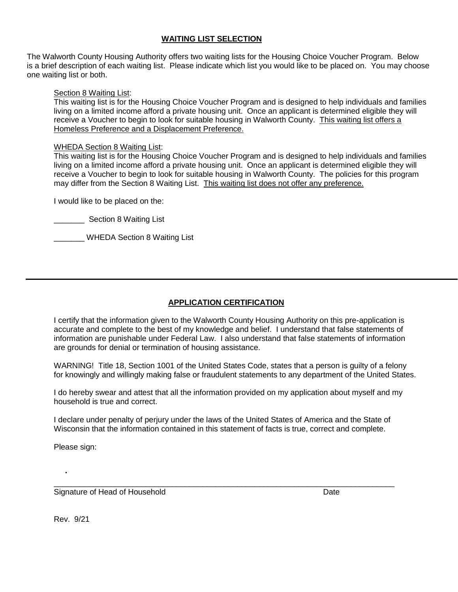### **WAITING LIST SELECTION**

The Walworth County Housing Authority offers two waiting lists for the Housing Choice Voucher Program. Below is a brief description of each waiting list. Please indicate which list you would like to be placed on. You may choose one waiting list or both.

#### Section 8 Waiting List:

This waiting list is for the Housing Choice Voucher Program and is designed to help individuals and families living on a limited income afford a private housing unit. Once an applicant is determined eligible they will receive a Voucher to begin to look for suitable housing in Walworth County. This waiting list offers a Homeless Preference and a Displacement Preference.

#### WHEDA Section 8 Waiting List:

This waiting list is for the Housing Choice Voucher Program and is designed to help individuals and families living on a limited income afford a private housing unit. Once an applicant is determined eligible they will receive a Voucher to begin to look for suitable housing in Walworth County. The policies for this program may differ from the Section 8 Waiting List. This waiting list does not offer any preference.

I would like to be placed on the:

Section 8 Waiting List

\_\_\_\_\_\_\_ WHEDA Section 8 Waiting List

### **APPLICATION CERTIFICATION**

I certify that the information given to the Walworth County Housing Authority on this pre-application is accurate and complete to the best of my knowledge and belief. I understand that false statements of information are punishable under Federal Law. I also understand that false statements of information are grounds for denial or termination of housing assistance.

WARNING! Title 18, Section 1001 of the United States Code, states that a person is guilty of a felony for knowingly and willingly making false or fraudulent statements to any department of the United States.

I do hereby swear and attest that all the information provided on my application about myself and my household is true and correct.

I declare under penalty of perjury under the laws of the United States of America and the State of Wisconsin that the information contained in this statement of facts is true, correct and complete.

\_\_\_\_\_\_\_\_\_\_\_\_\_\_\_\_\_\_\_\_\_\_\_\_\_\_\_\_\_\_\_\_\_\_\_\_\_\_\_\_\_\_\_\_\_\_\_\_\_\_\_\_\_\_\_\_\_\_\_\_\_\_\_\_\_\_\_\_\_\_\_\_\_\_\_\_\_\_

Please sign:

Signature of Head of Household **Date** Date Date **Date** 

Rev. 9/21